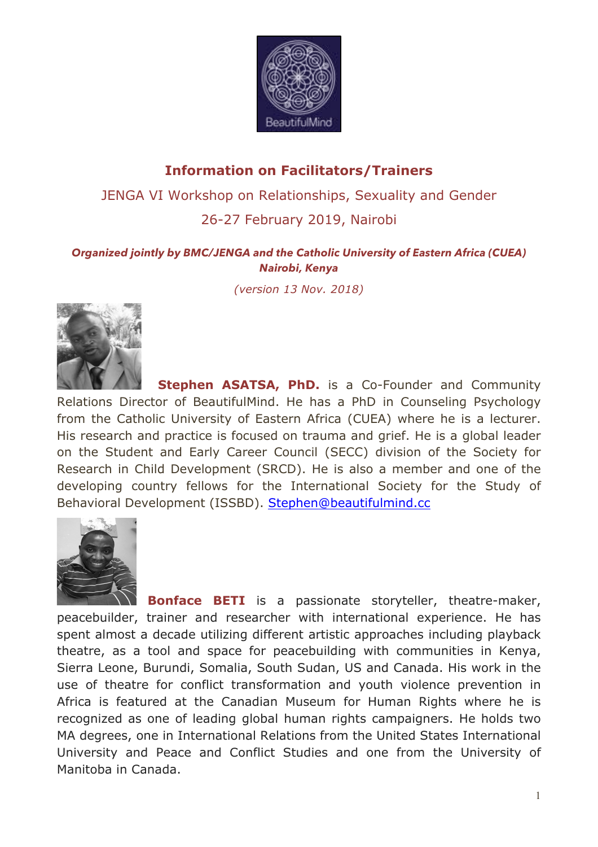

## **Information on Facilitators/Trainers**

JENGA VI Workshop on Relationships, Sexuality and Gender

## 26-27 February 2019, Nairobi

## *Organized jointly by BMC/JENGA and the Catholic University of Eastern Africa (CUEA) Nairobi, Kenya*

*(version 13 Nov. 2018)*



**Stephen ASATSA, PhD.** is a Co-Founder and Community Relations Director of BeautifulMind. He has a PhD in Counseling Psychology from the Catholic University of Eastern Africa (CUEA) where he is a lecturer. His research and practice is focused on trauma and grief. He is a global leader on the Student and Early Career Council (SECC) division of the Society for Research in Child Development (SRCD). He is also a member and one of the developing country fellows for the International Society for the Study of Behavioral Development (ISSBD). Stephen@beautifulmind.cc



**Bonface BETI** is a passionate storyteller, theatre-maker, peacebuilder, trainer and researcher with international experience. He has spent almost a decade utilizing different artistic approaches including playback theatre, as a tool and space for peacebuilding with communities in Kenya, Sierra Leone, Burundi, Somalia, South Sudan, US and Canada. His work in the use of theatre for conflict transformation and youth violence prevention in Africa is featured at the Canadian Museum for Human Rights where he is recognized as one of leading global human rights campaigners. He holds two MA degrees, one in International Relations from the United States International University and Peace and Conflict Studies and one from the University of Manitoba in Canada.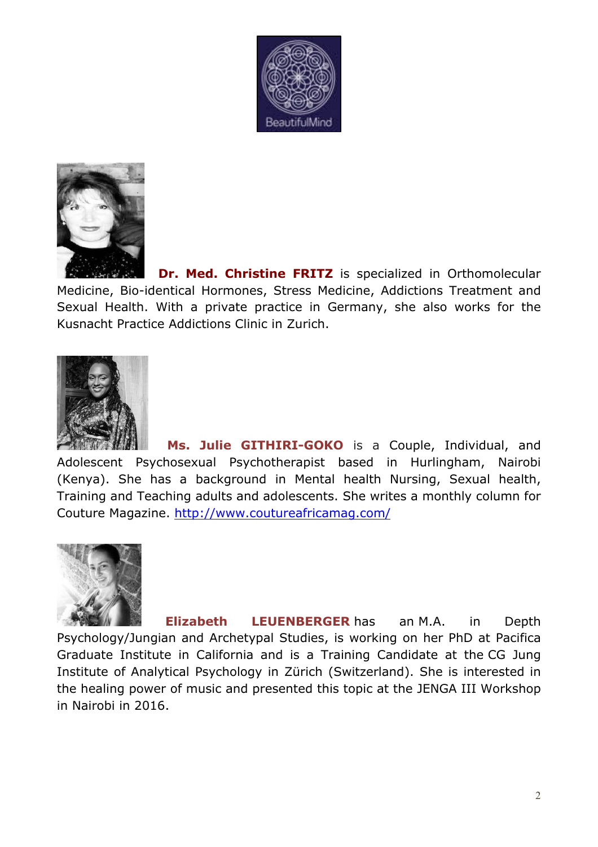



 **Dr. Med. Christine FRITZ** is specialized in Orthomolecular Medicine, Bio-identical Hormones, Stress Medicine, Addictions Treatment and Sexual Health. With a private practice in Germany, she also works for the Kusnacht Practice Addictions Clinic in Zurich.



 **Ms. Julie GITHIRI-GOKO** is a Couple, Individual, and Adolescent Psychosexual Psychotherapist based in Hurlingham, Nairobi (Kenya). She has a background in Mental health Nursing, Sexual health, Training and Teaching adults and adolescents. She writes a monthly column for Couture Magazine. http://www.coutureafricamag.com/



**Elizabeth LEUENBERGER** has an M.A. in Depth Psychology/Jungian and Archetypal Studies, is working on her PhD at Pacifica Graduate Institute in California and is a Training Candidate at the CG Jung Institute of Analytical Psychology in Zürich (Switzerland). She is interested in the healing power of music and presented this topic at the JENGA III Workshop in Nairobi in 2016.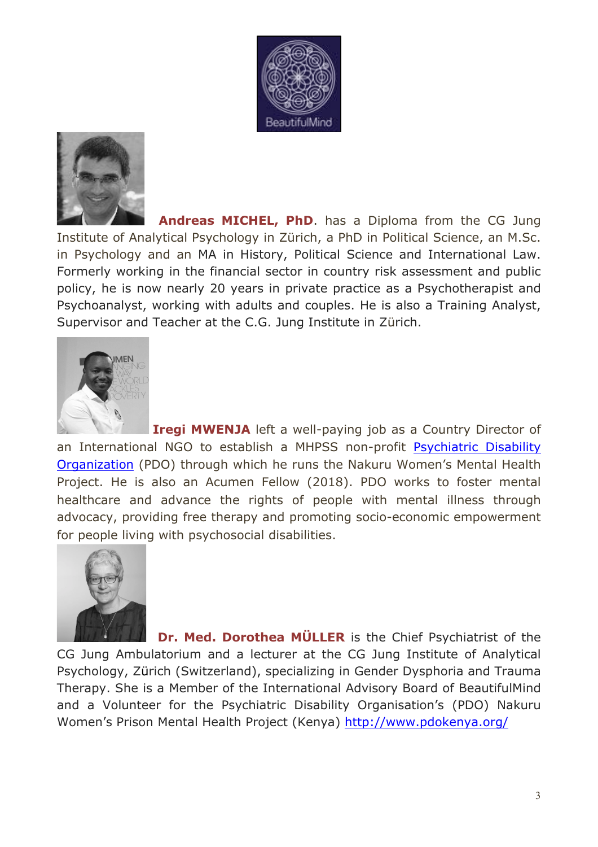



 **Andreas MICHEL, PhD**. has a Diploma from the CG Jung Institute of Analytical Psychology in Zürich, a PhD in Political Science, an M.Sc. in Psychology and an MA in History, Political Science and International Law. Formerly working in the financial sector in country risk assessment and public policy, he is now nearly 20 years in private practice as a Psychotherapist and Psychoanalyst, working with adults and couples. He is also a Training Analyst, Supervisor and Teacher at the C.G. Jung Institute in Zürich.



**Iregi MWENJA** left a well-paying job as a Country Director of an International NGO to establish a MHPSS non-profit Psychiatric Disability Organization (PDO) through which he runs the Nakuru Women's Mental Health Project. He is also an Acumen Fellow (2018). PDO works to foster mental healthcare and advance the rights of people with mental illness through advocacy, providing free therapy and promoting socio-economic empowerment for people living with psychosocial disabilities.



**Dr. Med. Dorothea MÜLLER** is the Chief Psychiatrist of the CG Jung Ambulatorium and a lecturer at the CG Jung Institute of Analytical Psychology, Zürich (Switzerland), specializing in Gender Dysphoria and Trauma Therapy. She is a Member of the International Advisory Board of BeautifulMind and a Volunteer for the Psychiatric Disability Organisation's (PDO) Nakuru Women's Prison Mental Health Project (Kenya) http://www.pdokenya.org/